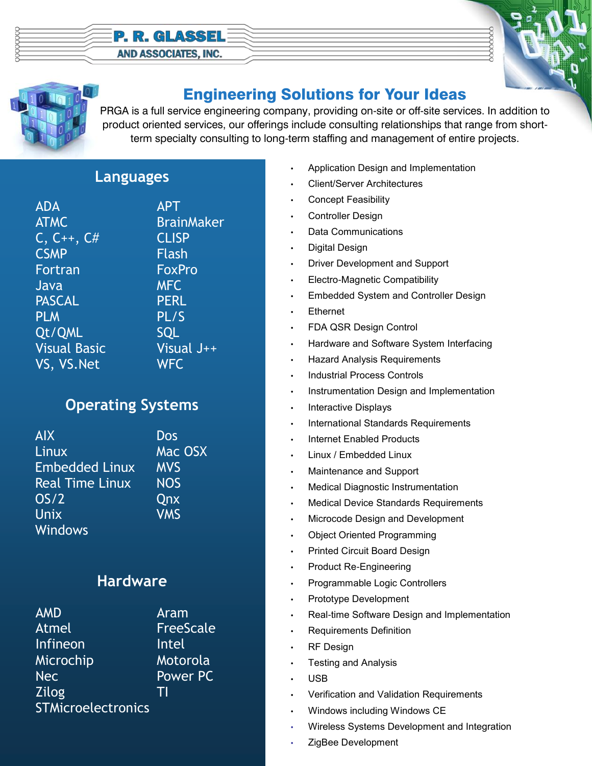#### **P. R. GLASSEL** AND ASSOCIATES, INC.





# Engineering Solutions for Your Ideas

PRGA is a full service engineering company, providing on-site or off-site services. In addition to product oriented services, our offerings include consulting relationships that range from shortterm specialty consulting to long-term staffing and management of entire projects.

#### **Languages**

| <b>ADA</b>          |
|---------------------|
| <b>ATMC</b>         |
| $C, C_{++}, C_{\#}$ |
| <b>CSMP</b>         |
| Fortran             |
| Java                |
| <b>PASCAL</b>       |
| <b>PLM</b>          |
| Qt/QML              |
| <b>Visual Basic</b> |
| VS, VS.Net          |
|                     |

**APT BrainMaker** CLISP **Flash FoxPro** MFC **PERL**  $PL/S$ SOL Visual J++ WFC.

## **Operating Systems**

| <b>AIX</b>             | Dos        |
|------------------------|------------|
| Linux                  | Mac OSX    |
| <b>Embedded Linux</b>  | <b>MVS</b> |
| <b>Real Time Linux</b> | <b>NOS</b> |
| OS/2                   | Qnx        |
| Unix                   | <b>VMS</b> |
| <b>Windows</b>         |            |

### **Hardware**

| <b>AMD</b>                | Aram             |
|---------------------------|------------------|
| Atmel                     | <b>FreeScale</b> |
| Infineon                  | Intel            |
| Microchip                 | Motorola         |
| <b>Nec</b>                | Power PC         |
| <b>Zilog</b>              | Τl               |
| <b>STMicroelectronics</b> |                  |

- Application Design and Implementation
- Client/Server Architectures
- Concept Feasibility
- Controller Design
- Data Communications
- Digital Design
- Driver Development and Support
- Electro-Magnetic Compatibility
- Embedded System and Controller Design
- **Ethernet**
- FDA QSR Design Control
- Hardware and Software System Interfacing
- Hazard Analysis Requirements
- Industrial Process Controls
- Instrumentation Design and Implementation
- Interactive Displays
- International Standards Requirements
- Internet Enabled Products
- Linux / Embedded Linux
- Maintenance and Support
- Medical Diagnostic Instrumentation
- Medical Device Standards Requirements
- Microcode Design and Development
- Object Oriented Programming
- Printed Circuit Board Design
- Product Re-Engineering
- Programmable Logic Controllers
- Prototype Development
- Real-time Software Design and Implementation
- Requirements Definition
- **RF Design**
- Testing and Analysis
- USB
- Verification and Validation Requirements
- Windows including Windows CE
- Wireless Systems Development and Integration
- ZigBee Development